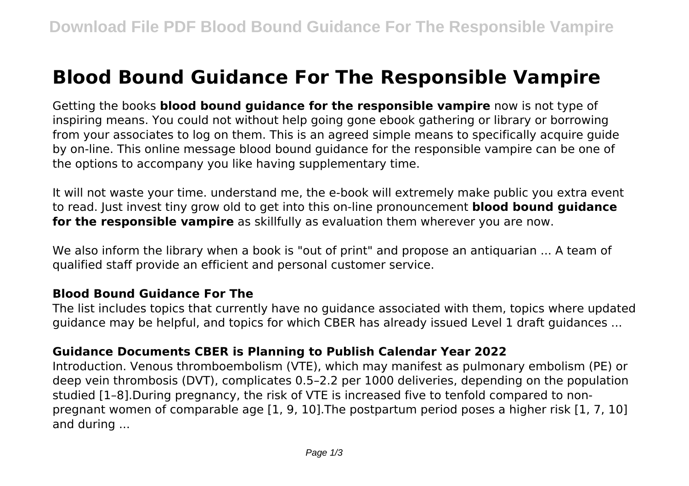# **Blood Bound Guidance For The Responsible Vampire**

Getting the books **blood bound guidance for the responsible vampire** now is not type of inspiring means. You could not without help going gone ebook gathering or library or borrowing from your associates to log on them. This is an agreed simple means to specifically acquire guide by on-line. This online message blood bound guidance for the responsible vampire can be one of the options to accompany you like having supplementary time.

It will not waste your time. understand me, the e-book will extremely make public you extra event to read. Just invest tiny grow old to get into this on-line pronouncement **blood bound guidance for the responsible vampire** as skillfully as evaluation them wherever you are now.

We also inform the library when a book is "out of print" and propose an antiquarian ... A team of qualified staff provide an efficient and personal customer service.

#### **Blood Bound Guidance For The**

The list includes topics that currently have no guidance associated with them, topics where updated guidance may be helpful, and topics for which CBER has already issued Level 1 draft guidances ...

#### **Guidance Documents CBER is Planning to Publish Calendar Year 2022**

Introduction. Venous thromboembolism (VTE), which may manifest as pulmonary embolism (PE) or deep vein thrombosis (DVT), complicates 0.5–2.2 per 1000 deliveries, depending on the population studied [1–8].During pregnancy, the risk of VTE is increased five to tenfold compared to nonpregnant women of comparable age [1, 9, 10].The postpartum period poses a higher risk [1, 7, 10] and during ...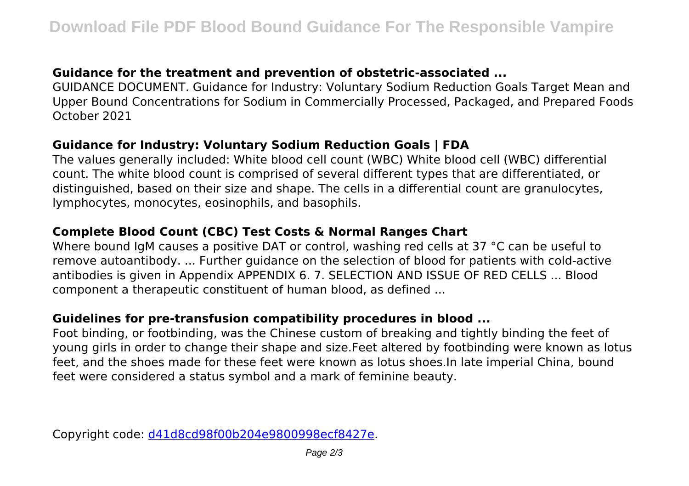## **Guidance for the treatment and prevention of obstetric-associated ...**

GUIDANCE DOCUMENT. Guidance for Industry: Voluntary Sodium Reduction Goals Target Mean and Upper Bound Concentrations for Sodium in Commercially Processed, Packaged, and Prepared Foods October 2021

#### **Guidance for Industry: Voluntary Sodium Reduction Goals | FDA**

The values generally included: White blood cell count (WBC) White blood cell (WBC) differential count. The white blood count is comprised of several different types that are differentiated, or distinguished, based on their size and shape. The cells in a differential count are granulocytes, lymphocytes, monocytes, eosinophils, and basophils.

## **Complete Blood Count (CBC) Test Costs & Normal Ranges Chart**

Where bound IgM causes a positive DAT or control, washing red cells at 37 °C can be useful to remove autoantibody. ... Further guidance on the selection of blood for patients with cold-active antibodies is given in Appendix APPENDIX 6. 7. SELECTION AND ISSUE OF RED CELLS ... Blood component a therapeutic constituent of human blood, as defined ...

#### **Guidelines for pre‐transfusion compatibility procedures in blood ...**

Foot binding, or footbinding, was the Chinese custom of breaking and tightly binding the feet of young girls in order to change their shape and size.Feet altered by footbinding were known as lotus feet, and the shoes made for these feet were known as lotus shoes.In late imperial China, bound feet were considered a status symbol and a mark of feminine beauty.

Copyright code: [d41d8cd98f00b204e9800998ecf8427e.](/sitemap.xml)